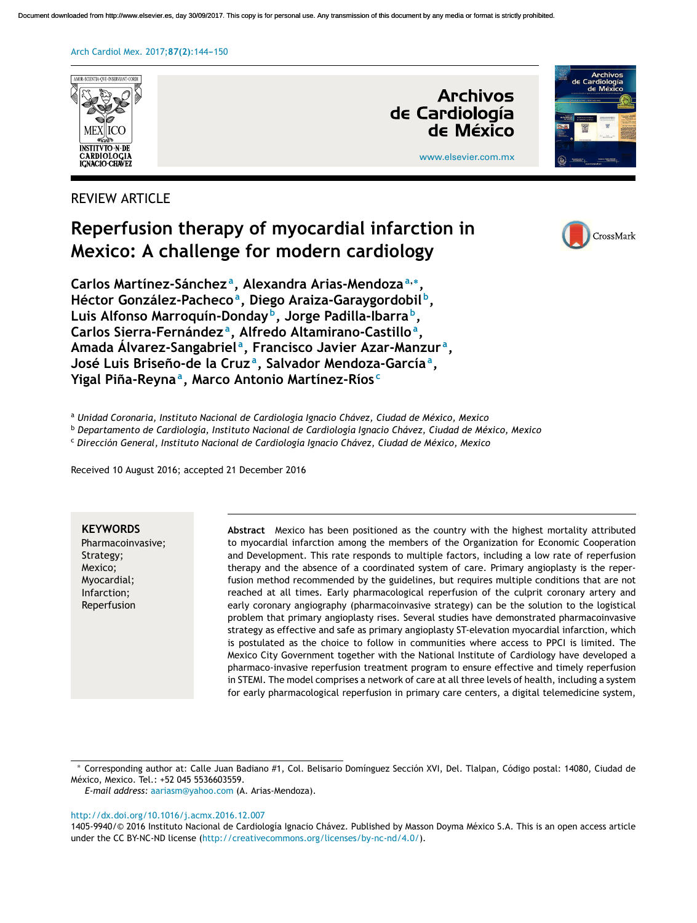Document downloaded from http://www.elsevier.es, day 30/09/2017. This copy is for personal use. Any transmission of this document by any media or format is strictly prohibited.

#### Arch Cardiol Mex. 2017; 87(2): 144-150



# REVIEW ARTICLE

# **Reperfusion therapy of myocardial infarction in Mexico: A challenge for modern cardiology**



**Carlos Martínez-Sánchez <sup>a</sup> , Alexandra Arias-Mendoza<sup>a</sup>**,<sup>∗</sup> **, Héctor González-Pacheco<sup>a</sup> , Diego Araiza-Garaygordobil <sup>b</sup> , Luis Alfonso Marroquín-Donday <sup>b</sup> , Jorge Padilla-Ibarra <sup>b</sup> , Carlos Sierra-Fernández <sup>a</sup> , Alfredo Altamirano-Castillo<sup>a</sup> , Amada Álvarez-Sangabriel <sup>a</sup> , Francisco Javier Azar-Manzur <sup>a</sup> , José Luis Briseno-de ˜ la Cruz <sup>a</sup> , Salvador Mendoza-García<sup>a</sup> , Yigal Pina-Reyna ˜ a , Marco Antonio Martínez-Ríos <sup>c</sup>**

<sup>a</sup> *Unidad Coronaria, Instituto Nacional de Cardiología Ignacio Chávez, Ciudad de México, Mexico*

<sup>b</sup> *Departamento de Cardiología, Instituto Nacional de Cardiología Ignacio Chávez, Ciudad de México, Mexico*

<sup>c</sup> *Dirección General, Instituto Nacional de Cardiología Ignacio Chávez, Ciudad de México, Mexico*

Received 10 August 2016; accepted 21 December 2016

#### **KEYWORDS**

Pharmacoinvasive; Strategy; Mexico; Myocardial; Infarction; Reperfusion

**Abstract** Mexico has been positioned as the country with the highest mortality attributed to myocardial infarction among the members of the Organization for Economic Cooperation and Development. This rate responds to multiple factors, including a low rate of reperfusion therapy and the absence of a coordinated system of care. Primary angioplasty is the reperfusion method recommended by the guidelines, but requires multiple conditions that are not reached at all times. Early pharmacological reperfusion of the culprit coronary artery and early coronary angiography (pharmacoinvasive strategy) can be the solution to the logistical problem that primary angioplasty rises. Several studies have demonstrated pharmacoinvasive strategy as effective and safe as primary angioplasty ST-elevation myocardial infarction, which is postulated as the choice to follow in communities where access to PPCI is limited. The Mexico City Government together with the National Institute of Cardiology have developed a pharmaco-invasive reperfusion treatment program to ensure effective and timely reperfusion in STEMI. The model comprises a network of care at all three levels of health, including a system for early pharmacological reperfusion in primary care centers, a digital telemedicine system,

*E-mail address:* [aariasm@yahoo.com](mailto:aariasm@yahoo.com) (A. Arias-Mendoza).

#### [http://dx.doi.org/10.1016/j.acmx.2016.12.007](dx.doi.org/10.1016/j.acmx.2016.12.007)

1405-9940/© 2016 Instituto Nacional de Cardiología Ignacio Chávez. Published by Masson Doyma México S.A. This is an open access article under the CC BY-NC-ND license [\(http://creativecommons.org/licenses/by-nc-nd/4.0/\)](http://creativecommons.org/licenses/by-nc-nd/4.0/).

<sup>∗</sup> Corresponding author at: Calle Juan Badiano #1, Col. Belisario Domínguez Sección XVI, Del. Tlalpan, Código postal: 14080, Ciudad de México, Mexico. Tel.: +52 045 5536603559.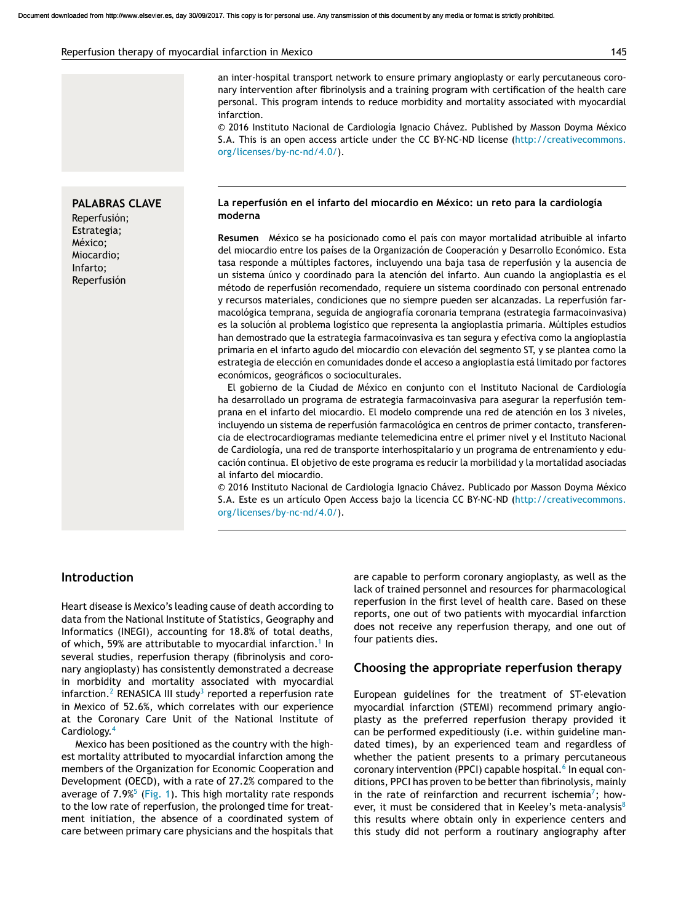an inter-hospital transport network to ensure primary angioplasty or early percutaneous coronary intervention after fibrinolysis and a training program with certification of the health care personal. This program intends to reduce morbidity and mortality associated with myocardial infarction.

© 2016 Instituto Nacional de Cardiología Ignacio Chávez. Published by Masson Doyma México S.A. This is an open access article under the CC BY-NC-ND license [\(http://creativecommons.](http://creativecommons.org/licenses/by-nc-nd/4.0/) [org/licenses/by-nc-nd/4.0/\)](http://creativecommons.org/licenses/by-nc-nd/4.0/).

#### **La reperfusión en el infarto del miocardio en México: un reto para la cardiología moderna**

**Resumen** México se ha posicionado como el país con mayor mortalidad atribuible al infarto del miocardio entre los países de la Organización de Cooperación y Desarrollo Económico. Esta tasa responde a múltiples factores, incluyendo una baja tasa de reperfusión y la ausencia de un sistema único y coordinado para la atención del infarto. Aun cuando la angioplastia es el método de reperfusión recomendado, requiere un sistema coordinado con personal entrenado y recursos materiales, condiciones que no siempre pueden ser alcanzadas. La reperfusión farmacológica temprana, seguida de angiografía coronaria temprana (estrategia farmacoinvasiva) es la solución al problema logístico que representa la angioplastia primaria. Múltiples estudios han demostrado que la estrategia farmacoinvasiva es tan segura y efectiva como la angioplastia primaria en el infarto agudo del miocardio con elevación del segmento ST, y se plantea como la estrategia de elección en comunidades donde el acceso a angioplastia está limitado por factores económicos, geográficos o socioculturales.

El gobierno de la Ciudad de México en conjunto con el Instituto Nacional de Cardiología ha desarrollado un programa de estrategia farmacoinvasiva para asegurar la reperfusión temprana en el infarto del miocardio. El modelo comprende una red de atención en los 3 niveles, incluyendo un sistema de reperfusión farmacológica en centros de primer contacto, transferencia de electrocardiogramas mediante telemedicina entre el primer nivel y el Instituto Nacional de Cardiología, una red de transporte interhospitalario y un programa de entrenamiento y educación continua. El objetivo de este programa es reducir la morbilidad y la mortalidad asociadas al infarto del miocardio.

© 2016 Instituto Nacional de Cardiología Ignacio Chávez. Publicado por Masson Doyma México S.A. Este es un artículo Open Access bajo la licencia CC BY-NC-ND [\(http://creativecommons.](http://creativecommons.org/licenses/by-nc-nd/4.0/) [org/licenses/by-nc-nd/4.0/\)](http://creativecommons.org/licenses/by-nc-nd/4.0/).

#### **Introduction**

Heart disease is Mexico's leading cause of death according to data from the National Institute of Statistics, Geography and Informatics (INEGI), accounting for 18.8% of total deaths, of which, 59% are attributable to myocardial infarction. $^{\rm 1}$  $^{\rm 1}$  $^{\rm 1}$  In several studies, reperfusion therapy (fibrinolysis and coronary angioplasty) has consistently demonstrated a decrease in morbidity and mortality associated with myocardial infarction. $^2$  [R](#page-5-0)ENASICA III study $^3$  $^3$  reported a reperfusion rate in Mexico of 52.6%, which correlates with our experience at the Coronary Care Unit of the National Institute of Cardiology.[4](#page-5-0)

Mexico has been positioned as the country with the highest mortality attributed to myocardial infarction among the members of the Organization for Economic Cooperation and Development (OECD), with a rate of 27.2% compared to the average of  $7.9\%$  [\(](#page-5-0)[Fig.](#page-2-0) 1). This high mortality rate responds to the low rate of reperfusion, the prolonged time for treatment initiation, the absence of a coordinated system of care between primary care physicians and the hospitals that are capable to perform coronary angioplasty, as well as the lack of trained personnel and resources for pharmacological reperfusion in the first level of health care. Based on these reports, one out of two patients with myocardial infarction does not receive any reperfusion therapy, and one out of four patients dies.

### **Choosing the appropriate reperfusion therapy**

European guidelines for the treatment of ST-elevation myocardial infarction (STEMI) recommend primary angioplasty as the preferred reperfusion therapy provided it can be performed expeditiously (i.e. within guideline mandated times), by an experienced team and regardless of whether the patient presents to a primary percutaneous coronary intervention (PPCI) capable hospital.<sup>6</sup> [In](#page-5-0) equal conditions, PPCI has proven to be better than fibrinolysis, mainly in the rate of reinfarction and recurrent ischemia<sup>7</sup>[;](#page-5-0) however, it must be considered that in Keeley's meta-analysis $8$ this results where obtain only in experience centers and this study did not perform a routinary angiography after

#### **PALABRAS CLAVE** Reperfusión; Estrategia; México; Miocardio; Infarto; Reperfusión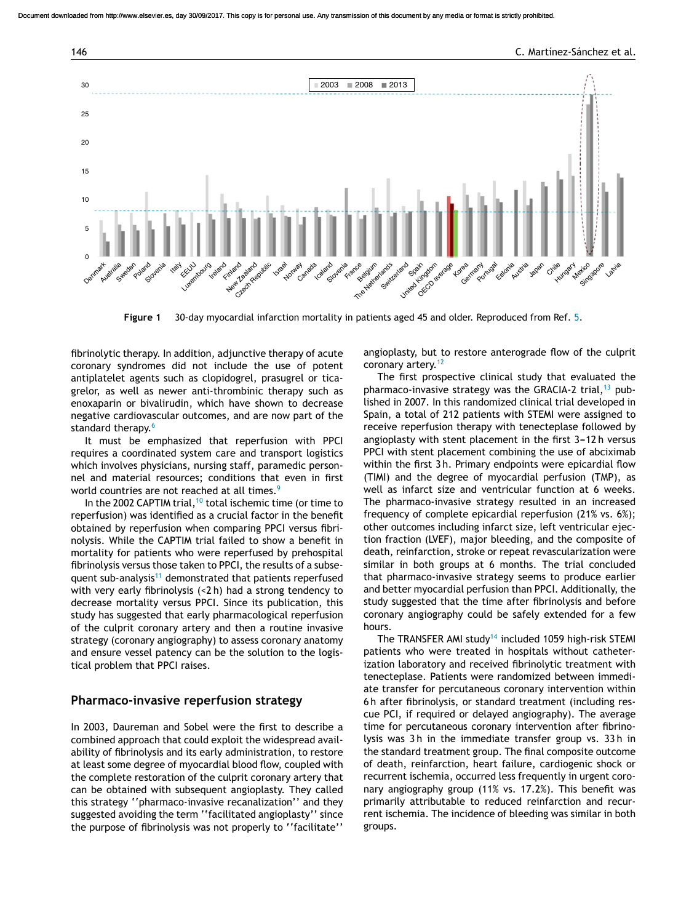<span id="page-2-0"></span>

**Figure 1** 30-day myocardial infarction mortality in patients aged 45 and older. Reproduced from Ref. [5.](#page-5-0)

fibrinolytic therapy. In addition, adjunctive therapy of acute coronary syndromes did not include the use of potent antiplatelet agents such as clopidogrel, prasugrel or ticagrelor, as well as newer anti-thrombinic therapy such as enoxaparin or bivalirudin, which have shown to decrease negative cardiovascular outcomes, and are now part of the standard therapy.<sup>[6](#page-5-0)</sup>

It must be emphasized that reperfusion with PPCI requires a coordinated system care and transport logistics which involves physicians, nursing staff, paramedic personnel and material resources; conditions that even in first world countries are not reached at all times.<sup>[9](#page-5-0)</sup>

In the 2002 CAPTIM trial,<sup>[10](#page-5-0)</sup> total ischemic time (or time to reperfusion) was identified as a crucial factor in the benefit obtained by reperfusion when comparing PPCI versus fibrinolysis. While the CAPTIM trial failed to show a benefit in mortality for patients who were reperfused by prehospital fibrinolysis versus those taken to PPCI, the results of a subse-quent sub-analysis<sup>[11](#page-5-0)</sup> demonstrated that patients reperfused with very early fibrinolysis (<2 h) had a strong tendency to decrease mortality versus PPCI. Since its publication, this study has suggested that early pharmacological reperfusion of the culprit coronary artery and then a routine invasive strategy (coronary angiography) to assess coronary anatomy and ensure vessel patency can be the solution to the logistical problem that PPCI raises.

#### **Pharmaco-invasive reperfusion strategy**

In 2003, Daureman and Sobel were the first to describe a combined approach that could exploit the widespread availability of fibrinolysis and its early administration, to restore at least some degree of myocardial blood flow, coupled with the complete restoration of the culprit coronary artery that can be obtained with subsequent angioplasty. They called this strategy ''pharmaco-invasive recanalization'' and they suggested avoiding the term ''facilitated angioplasty'' since the purpose of fibrinolysis was not properly to ''facilitate''

angioplasty, but to restore anterograde flow of the culprit coronary artery.<sup>[12](#page-5-0)</sup>

The first prospective clinical study that evaluated the pharmaco-invasive strategy was the GRACIA-2 trial,  $13$  published in 2007. In this randomized clinical trial developed in Spain, a total of 212 patients with STEMI were assigned to receive reperfusion therapy with tenecteplase followed by angioplasty with stent placement in the first 3-12h versus PPCI with stent placement combining the use of abciximab within the first 3 h. Primary endpoints were epicardial flow (TIMI) and the degree of myocardial perfusion (TMP), as well as infarct size and ventricular function at 6 weeks. The pharmaco-invasive strategy resulted in an increased frequency of complete epicardial reperfusion (21% vs. 6%); other outcomes including infarct size, left ventricular ejection fraction (LVEF), major bleeding, and the composite of death, reinfarction, stroke or repeat revascularization were similar in both groups at 6 months. The trial concluded that pharmaco-invasive strategy seems to produce earlier and better myocardial perfusion than PPCI. Additionally, the study suggested that the time after fibrinolysis and before coronary angiography could be safely extended for a few hours.

The TRANSFER AMI study<sup>[14](#page-6-0)</sup> included 1059 high-risk STEMI patients who were treated in hospitals without catheterization laboratory and received fibrinolytic treatment with tenecteplase. Patients were randomized between immediate transfer for percutaneous coronary intervention within 6 h after fibrinolysis, or standard treatment (including rescue PCI, if required or delayed angiography). The average time for percutaneous coronary intervention after fibrinolysis was 3 h in the immediate transfer group vs. 33 h in the standard treatment group. The final composite outcome of death, reinfarction, heart failure, cardiogenic shock or recurrent ischemia, occurred less frequently in urgent coronary angiography group (11% vs. 17.2%). This benefit was primarily attributable to reduced reinfarction and recurrent ischemia. The incidence of bleeding was similar in both groups.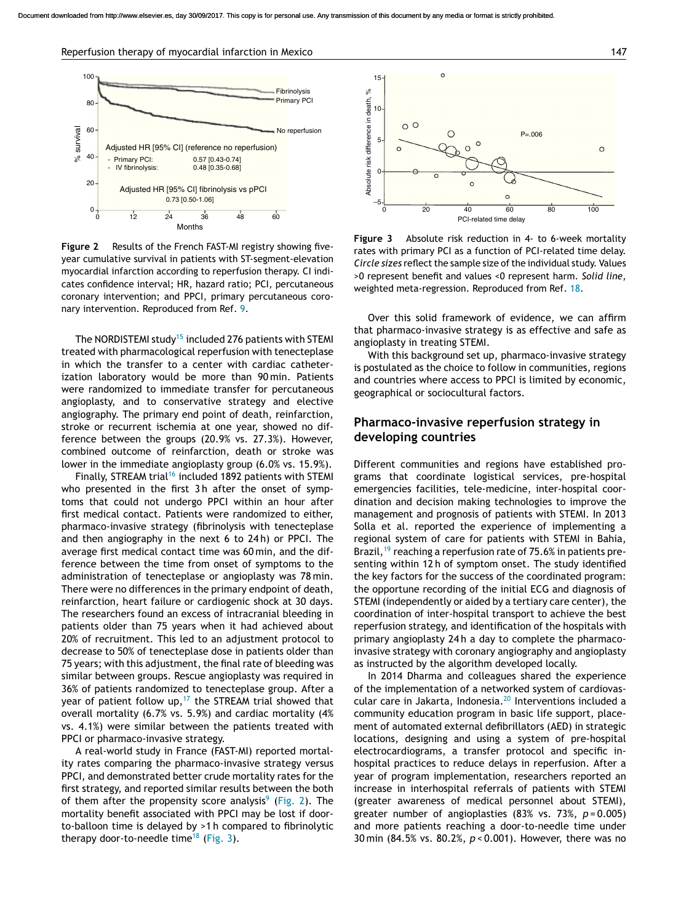Reperfusion therapy of myocardial infarction in Mexico 147



**Figure 2** Results of the French FAST-MI registry showing fiveyear cumulative survival in patients with ST-segment-elevation myocardial infarction according to reperfusion therapy. CI indicates confidence interval; HR, hazard ratio; PCI, percutaneous coronary intervention; and PPCI, primary percutaneous coronary intervention. Reproduced from Ref. [9.](#page-5-0)

The NORDISTEMI study<sup>[15](#page-6-0)</sup> included 276 patients with STEMI treated with pharmacological reperfusion with tenecteplase in which the transfer to a center with cardiac catheterization laboratory would be more than 90 min. Patients were randomized to immediate transfer for percutaneous angioplasty, and to conservative strategy and elective angiography. The primary end point of death, reinfarction, stroke or recurrent ischemia at one year, showed no difference between the groups (20.9% vs. 27.3%). However, combined outcome of reinfarction, death or stroke was lower in the immediate angioplasty group (6.0% vs. 15.9%).

Finally, STREAM trial<sup>[16](#page-6-0)</sup> included 1892 patients with STEMI who presented in the first 3h after the onset of symptoms that could not undergo PPCI within an hour after first medical contact. Patients were randomized to either, pharmaco-invasive strategy (fibrinolysis with tenecteplase and then angiography in the next 6 to 24 h) or PPCI. The average first medical contact time was 60 min, and the difference between the time from onset of symptoms to the administration of tenecteplase or angioplasty was 78 min. There were no differences in the primary endpoint of death, reinfarction, heart failure or cardiogenic shock at 30 days. The researchers found an excess of intracranial bleeding in patients older than 75 years when it had achieved about 20% of recruitment. This led to an adjustment protocol to decrease to 50% of tenecteplase dose in patients older than 75 years; with this adjustment, the final rate of bleeding was similar between groups. Rescue angioplasty was required in 36% of patients randomized to tenecteplase group. After a year of patient follow up,<sup>[17](#page-6-0)</sup> the STREAM trial showed that overall mortality (6.7% vs. 5.9%) and cardiac mortality (4% vs. 4.1%) were similar between the patients treated with PPCI or pharmaco-invasive strategy.

A real-world study in France (FAST-MI) reported mortality rates comparing the pharmaco-invasive strategy versus PPCI, and demonstrated better crude mortality rates for the first strategy, and reported similar results between the both of them after the propensity score analysis<sup>[9](#page-5-0)</sup> (Fig. 2). The mortality benefit associated with PPCI may be lost if doorto-balloon time is delayed by >1 h compared to fibrinolytic therapy door-to-needle time<sup>[18](#page-6-0)</sup> (Fig. 3).



**Figure 3** Absolute risk reduction in 4- to 6-week mortality rates with primary PCI as a function of PCI-related time delay. *Circle sizes* reflect the sample size of the individual study. Values >0 represent benefit and values <0 represent harm. *Solid line*, weighted meta-regression. Reproduced from Ref. [18.](#page-6-0)

Over this solid framework of evidence, we can affirm that pharmaco-invasive strategy is as effective and safe as angioplasty in treating STEMI.

With this background set up, pharmaco-invasive strategy is postulated as the choice to follow in communities, regions and countries where access to PPCI is limited by economic, geographical or sociocultural factors.

#### **Pharmaco-invasive reperfusion strategy in developing countries**

Different communities and regions have established programs that coordinate logistical services, pre-hospital emergencies facilities, tele-medicine, inter-hospital coordination and decision making technologies to improve the management and prognosis of patients with STEMI. In 2013 Solla et al. reported the experience of implementing a regional system of care for patients with STEMI in Bahia, Brazil,<sup>[19](#page-6-0)</sup> reaching a reperfusion rate of 75.6% in patients presenting within 12 h of symptom onset. The study identified the key factors for the success of the coordinated program: the opportune recording of the initial ECG and diagnosis of STEMI (independently or aided by a tertiary care center), the coordination of inter-hospital transport to achieve the best reperfusion strategy, and identification of the hospitals with primary angioplasty 24 h a day to complete the pharmacoinvasive strategy with coronary angiography and angioplasty as instructed by the algorithm developed locally.

In 2014 Dharma and colleagues shared the experience of the implementation of a networked system of cardiovascular care in Jakarta, Indonesia.[20](#page-6-0) Interventions included a community education program in basic life support, placement of automated external defibrillators (AED) in strategic locations, designing and using a system of pre-hospital electrocardiograms, a transfer protocol and specific inhospital practices to reduce delays in reperfusion. After a year of program implementation, researchers reported an increase in interhospital referrals of patients with STEMI (greater awareness of medical personnel about STEMI), greater number of angioplasties (83% vs. 73%, *p* = 0.005) and more patients reaching a door-to-needle time under 30 min (84.5% vs. 80.2%, *p* < 0.001). However, there was no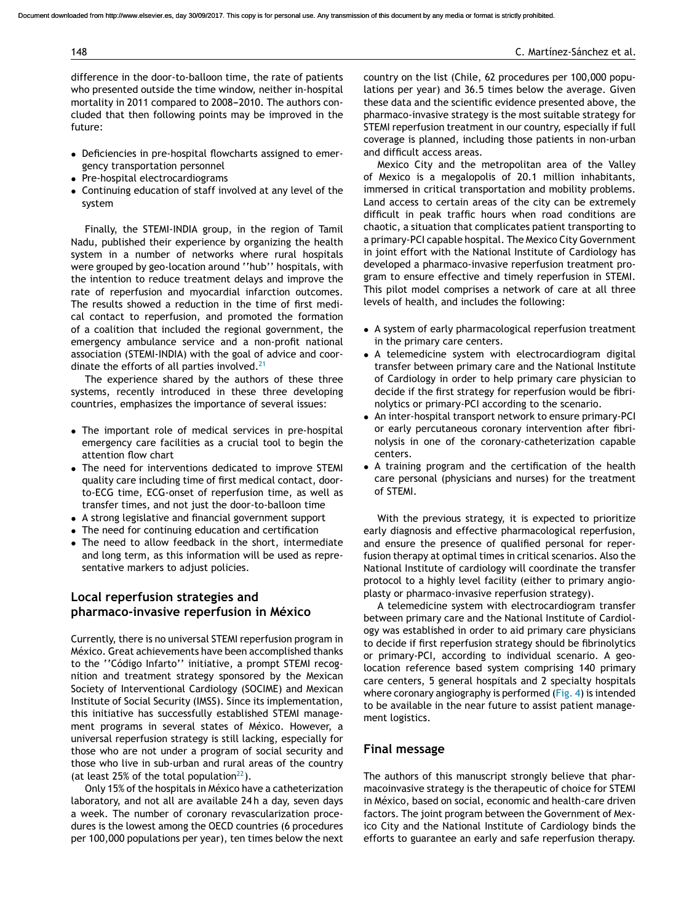difference in the door-to-balloon time, the rate of patients who presented outside the time window, neither in-hospital mortality in 2011 compared to 2008-2010. The authors concluded that then following points may be improved in the future:

- Deficiencies in pre-hospital flowcharts assigned to emergency transportation personnel
- Pre-hospital electrocardiograms
- Continuing education of staff involved at any level of the system

Finally, the STEMI-INDIA group, in the region of Tamil Nadu, published their experience by organizing the health system in a number of networks where rural hospitals were grouped by geo-location around ''hub'' hospitals, with the intention to reduce treatment delays and improve the rate of reperfusion and myocardial infarction outcomes. The results showed a reduction in the time of first medical contact to reperfusion, and promoted the formation of a coalition that included the regional government, the emergency ambulance service and a non-profit national association (STEMI-INDIA) with the goal of advice and coordinate the efforts of all parties involved. $21$ 

The experience shared by the authors of these three systems, recently introduced in these three developing countries, emphasizes the importance of several issues:

- The important role of medical services in pre-hospital emergency care facilities as a crucial tool to begin the attention flow chart
- The need for interventions dedicated to improve STEMI quality care including time of first medical contact, doorto-ECG time, ECG-onset of reperfusion time, as well as transfer times, and not just the door-to-balloon time
- A strong legislative and financial government support
- The need for continuing education and certification
- The need to allow feedback in the short, intermediate and long term, as this information will be used as representative markers to adjust policies.

# **Local reperfusion strategies and pharmaco-invasive reperfusion in México**

Currently, there is no universal STEMI reperfusion program in México. Great achievements have been accomplished thanks to the ''Código Infarto'' initiative, a prompt STEMI recognition and treatment strategy sponsored by the Mexican Society of Interventional Cardiology (SOCIME) and Mexican Institute of Social Security (IMSS). Since its implementation, this initiative has successfully established STEMI management programs in several states of México. However, a universal reperfusion strategy is still lacking, especially for those who are not under a program of social security and those who live in sub-urban and rural areas of the country (at least 25% of the total population $^{22}$ [\).](#page-6-0)

Only 15% of the hospitals in México have a catheterization laboratory, and not all are available 24 h a day, seven days a week. The number of coronary revascularization procedures is the lowest among the OECD countries (6 procedures per 100,000 populations per year), ten times below the next

country on the list (Chile, 62 procedures per 100,000 populations per year) and 36.5 times below the average. Given these data and the scientific evidence presented above, the pharmaco-invasive strategy is the most suitable strategy for STEMI reperfusion treatment in our country, especially if full coverage is planned, including those patients in non-urban and difficult access areas.

Mexico City and the metropolitan area of the Valley of Mexico is a megalopolis of 20.1 million inhabitants, immersed in critical transportation and mobility problems. Land access to certain areas of the city can be extremely difficult in peak traffic hours when road conditions are chaotic, a situation that complicates patient transporting to a primary-PCI capable hospital. The Mexico City Government in joint effort with the National Institute of Cardiology has developed a pharmaco-invasive reperfusion treatment program to ensure effective and timely reperfusion in STEMI. This pilot model comprises a network of care at all three levels of health, and includes the following:

- A system of early pharmacological reperfusion treatment in the primary care centers.
- A telemedicine system with electrocardiogram digital transfer between primary care and the National Institute of Cardiology in order to help primary care physician to decide if the first strategy for reperfusion would be fibrinolytics or primary-PCI according to the scenario.
- An inter-hospital transport network to ensure primary-PCI or early percutaneous coronary intervention after fibrinolysis in one of the coronary-catheterization capable centers.
- A training program and the certification of the health care personal (physicians and nurses) for the treatment of STEMI.

With the previous strategy, it is expected to prioritize early diagnosis and effective pharmacological reperfusion, and ensure the presence of qualified personal for reperfusion therapy at optimal times in critical scenarios. Also the National Institute of cardiology will coordinate the transfer protocol to a highly level facility (either to primary angioplasty or pharmaco-invasive reperfusion strategy).

A telemedicine system with electrocardiogram transfer between primary care and the National Institute of Cardiology was established in order to aid primary care physicians to decide if first reperfusion strategy should be fibrinolytics or primary-PCI, according to individual scenario. A geolocation reference based system comprising 140 primary care centers, 5 general hospitals and 2 specialty hospitals where coronary angiography is performed ([Fig.](#page-5-0) 4) is intended to be available in the near future to assist patient management logistics.

# **Final message**

The authors of this manuscript strongly believe that pharmacoinvasive strategy is the therapeutic of choice for STEMI in México, based on social, economic and health-care driven factors. The joint program between the Government of Mexico City and the National Institute of Cardiology binds the efforts to guarantee an early and safe reperfusion therapy.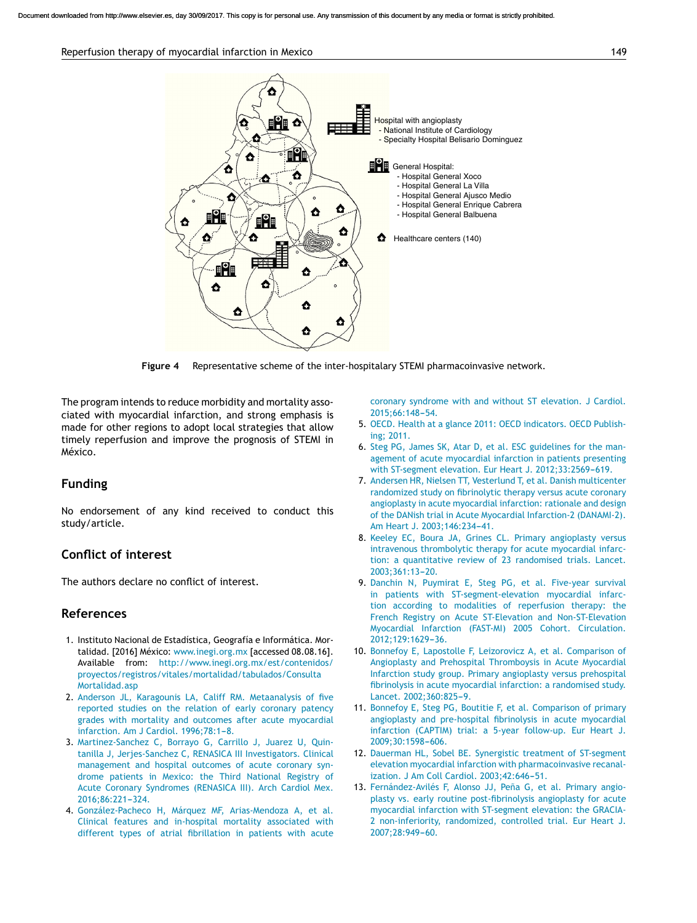#### <span id="page-5-0"></span>Reperfusion therapy of myocardial infarction in Mexico 149



**Figure 4** Representative scheme of the inter-hospitalary STEMI pharmacoinvasive network.

The program intends to reduce morbidity and mortality associated with myocardial infarction, and strong emphasis is made for other regions to adopt local strategies that allow timely reperfusion and improve the prognosis of STEMI in México.

#### **Funding**

No endorsement of any kind received to conduct this study/article.

# **Conflict of interest**

The authors declare no conflict of interest.

# **References**

- 1. Instituto Nacional de Estadística, Geografía e Informática. Mortalidad. [2016] México: [www.inegi.org.mx](http://www.inegi.org.mx/) [accessed 08.08.16]. Available from: [http://www.inegi.org.mx/est/contenidos/](http://www.inegi.org.mx/est/contenidos/proyectos/registros/vitales/mortalidad/tabulados/ConsultaMortalidad.asp) [proyectos/registros/vitales/mortalidad/tabulados/Consulta](http://www.inegi.org.mx/est/contenidos/proyectos/registros/vitales/mortalidad/tabulados/ConsultaMortalidad.asp) [Mortalidad.asp](http://www.inegi.org.mx/est/contenidos/proyectos/registros/vitales/mortalidad/tabulados/ConsultaMortalidad.asp)
- 2. [Anderson](http://refhub.elsevier.com/S1405-9940(16)30125-2/sbref0120) [JL,](http://refhub.elsevier.com/S1405-9940(16)30125-2/sbref0120) [Karagounis](http://refhub.elsevier.com/S1405-9940(16)30125-2/sbref0120) [LA,](http://refhub.elsevier.com/S1405-9940(16)30125-2/sbref0120) [Califf](http://refhub.elsevier.com/S1405-9940(16)30125-2/sbref0120) [RM.](http://refhub.elsevier.com/S1405-9940(16)30125-2/sbref0120) [Metaanalysis](http://refhub.elsevier.com/S1405-9940(16)30125-2/sbref0120) [of](http://refhub.elsevier.com/S1405-9940(16)30125-2/sbref0120) [five](http://refhub.elsevier.com/S1405-9940(16)30125-2/sbref0120) [reported](http://refhub.elsevier.com/S1405-9940(16)30125-2/sbref0120) [studies](http://refhub.elsevier.com/S1405-9940(16)30125-2/sbref0120) [on](http://refhub.elsevier.com/S1405-9940(16)30125-2/sbref0120) [the](http://refhub.elsevier.com/S1405-9940(16)30125-2/sbref0120) [relation](http://refhub.elsevier.com/S1405-9940(16)30125-2/sbref0120) [of](http://refhub.elsevier.com/S1405-9940(16)30125-2/sbref0120) [early](http://refhub.elsevier.com/S1405-9940(16)30125-2/sbref0120) [coronary](http://refhub.elsevier.com/S1405-9940(16)30125-2/sbref0120) [patency](http://refhub.elsevier.com/S1405-9940(16)30125-2/sbref0120) [grades](http://refhub.elsevier.com/S1405-9940(16)30125-2/sbref0120) [with](http://refhub.elsevier.com/S1405-9940(16)30125-2/sbref0120) [mortality](http://refhub.elsevier.com/S1405-9940(16)30125-2/sbref0120) [and](http://refhub.elsevier.com/S1405-9940(16)30125-2/sbref0120) [outcomes](http://refhub.elsevier.com/S1405-9940(16)30125-2/sbref0120) [after](http://refhub.elsevier.com/S1405-9940(16)30125-2/sbref0120) [acute](http://refhub.elsevier.com/S1405-9940(16)30125-2/sbref0120) [myocardial](http://refhub.elsevier.com/S1405-9940(16)30125-2/sbref0120) [infarction.](http://refhub.elsevier.com/S1405-9940(16)30125-2/sbref0120) [Am](http://refhub.elsevier.com/S1405-9940(16)30125-2/sbref0120) [J](http://refhub.elsevier.com/S1405-9940(16)30125-2/sbref0120) [Cardiol.](http://refhub.elsevier.com/S1405-9940(16)30125-2/sbref0120) 1996;78:1-8.
- 3. [Martinez-Sanchez](http://refhub.elsevier.com/S1405-9940(16)30125-2/sbref0125) [C,](http://refhub.elsevier.com/S1405-9940(16)30125-2/sbref0125) [Borrayo](http://refhub.elsevier.com/S1405-9940(16)30125-2/sbref0125) [G,](http://refhub.elsevier.com/S1405-9940(16)30125-2/sbref0125) [Carrillo](http://refhub.elsevier.com/S1405-9940(16)30125-2/sbref0125) [J,](http://refhub.elsevier.com/S1405-9940(16)30125-2/sbref0125) [Juarez](http://refhub.elsevier.com/S1405-9940(16)30125-2/sbref0125) [U,](http://refhub.elsevier.com/S1405-9940(16)30125-2/sbref0125) [Quin](http://refhub.elsevier.com/S1405-9940(16)30125-2/sbref0125)[tanilla](http://refhub.elsevier.com/S1405-9940(16)30125-2/sbref0125) [J,](http://refhub.elsevier.com/S1405-9940(16)30125-2/sbref0125) [Jerjes-Sanchez](http://refhub.elsevier.com/S1405-9940(16)30125-2/sbref0125) [C,](http://refhub.elsevier.com/S1405-9940(16)30125-2/sbref0125) [RENASICA](http://refhub.elsevier.com/S1405-9940(16)30125-2/sbref0125) [III](http://refhub.elsevier.com/S1405-9940(16)30125-2/sbref0125) [Investigators.](http://refhub.elsevier.com/S1405-9940(16)30125-2/sbref0125) [Clinical](http://refhub.elsevier.com/S1405-9940(16)30125-2/sbref0125) [management](http://refhub.elsevier.com/S1405-9940(16)30125-2/sbref0125) [and](http://refhub.elsevier.com/S1405-9940(16)30125-2/sbref0125) [hospital](http://refhub.elsevier.com/S1405-9940(16)30125-2/sbref0125) [outcomes](http://refhub.elsevier.com/S1405-9940(16)30125-2/sbref0125) [of](http://refhub.elsevier.com/S1405-9940(16)30125-2/sbref0125) [acute](http://refhub.elsevier.com/S1405-9940(16)30125-2/sbref0125) [coronary](http://refhub.elsevier.com/S1405-9940(16)30125-2/sbref0125) [syn](http://refhub.elsevier.com/S1405-9940(16)30125-2/sbref0125)[drome](http://refhub.elsevier.com/S1405-9940(16)30125-2/sbref0125) [patients](http://refhub.elsevier.com/S1405-9940(16)30125-2/sbref0125) [in](http://refhub.elsevier.com/S1405-9940(16)30125-2/sbref0125) [Mexico:](http://refhub.elsevier.com/S1405-9940(16)30125-2/sbref0125) [the](http://refhub.elsevier.com/S1405-9940(16)30125-2/sbref0125) [Third](http://refhub.elsevier.com/S1405-9940(16)30125-2/sbref0125) [National](http://refhub.elsevier.com/S1405-9940(16)30125-2/sbref0125) [Registry](http://refhub.elsevier.com/S1405-9940(16)30125-2/sbref0125) [of](http://refhub.elsevier.com/S1405-9940(16)30125-2/sbref0125) [Acute](http://refhub.elsevier.com/S1405-9940(16)30125-2/sbref0125) [Coronary](http://refhub.elsevier.com/S1405-9940(16)30125-2/sbref0125) [Syndromes](http://refhub.elsevier.com/S1405-9940(16)30125-2/sbref0125) [\(RENASICA](http://refhub.elsevier.com/S1405-9940(16)30125-2/sbref0125) [III\).](http://refhub.elsevier.com/S1405-9940(16)30125-2/sbref0125) [Arch](http://refhub.elsevier.com/S1405-9940(16)30125-2/sbref0125) [Cardiol](http://refhub.elsevier.com/S1405-9940(16)30125-2/sbref0125) [Mex.](http://refhub.elsevier.com/S1405-9940(16)30125-2/sbref0125) 2016;86:221-324.
- 4. [González-Pacheco](http://refhub.elsevier.com/S1405-9940(16)30125-2/sbref0130) [H,](http://refhub.elsevier.com/S1405-9940(16)30125-2/sbref0130) [Márquez](http://refhub.elsevier.com/S1405-9940(16)30125-2/sbref0130) [MF,](http://refhub.elsevier.com/S1405-9940(16)30125-2/sbref0130) [Arias-Mendoza](http://refhub.elsevier.com/S1405-9940(16)30125-2/sbref0130) [A,](http://refhub.elsevier.com/S1405-9940(16)30125-2/sbref0130) [et](http://refhub.elsevier.com/S1405-9940(16)30125-2/sbref0130) [al.](http://refhub.elsevier.com/S1405-9940(16)30125-2/sbref0130) [Clinical](http://refhub.elsevier.com/S1405-9940(16)30125-2/sbref0130) [features](http://refhub.elsevier.com/S1405-9940(16)30125-2/sbref0130) [and](http://refhub.elsevier.com/S1405-9940(16)30125-2/sbref0130) [in-hospital](http://refhub.elsevier.com/S1405-9940(16)30125-2/sbref0130) [mortality](http://refhub.elsevier.com/S1405-9940(16)30125-2/sbref0130) [associated](http://refhub.elsevier.com/S1405-9940(16)30125-2/sbref0130) [with](http://refhub.elsevier.com/S1405-9940(16)30125-2/sbref0130) [different](http://refhub.elsevier.com/S1405-9940(16)30125-2/sbref0130) [types](http://refhub.elsevier.com/S1405-9940(16)30125-2/sbref0130) [of](http://refhub.elsevier.com/S1405-9940(16)30125-2/sbref0130) [atrial](http://refhub.elsevier.com/S1405-9940(16)30125-2/sbref0130) [fibrillation](http://refhub.elsevier.com/S1405-9940(16)30125-2/sbref0130) [in](http://refhub.elsevier.com/S1405-9940(16)30125-2/sbref0130) [patients](http://refhub.elsevier.com/S1405-9940(16)30125-2/sbref0130) [with](http://refhub.elsevier.com/S1405-9940(16)30125-2/sbref0130) [acute](http://refhub.elsevier.com/S1405-9940(16)30125-2/sbref0130)

[coronary](http://refhub.elsevier.com/S1405-9940(16)30125-2/sbref0130) [syndrome](http://refhub.elsevier.com/S1405-9940(16)30125-2/sbref0130) [with](http://refhub.elsevier.com/S1405-9940(16)30125-2/sbref0130) [and](http://refhub.elsevier.com/S1405-9940(16)30125-2/sbref0130) [without](http://refhub.elsevier.com/S1405-9940(16)30125-2/sbref0130) [ST](http://refhub.elsevier.com/S1405-9940(16)30125-2/sbref0130) [elevation.](http://refhub.elsevier.com/S1405-9940(16)30125-2/sbref0130) [J](http://refhub.elsevier.com/S1405-9940(16)30125-2/sbref0130) [Cardiol.](http://refhub.elsevier.com/S1405-9940(16)30125-2/sbref0130) [2015;66:148](http://refhub.elsevier.com/S1405-9940(16)30125-2/sbref0130)-[54.](http://refhub.elsevier.com/S1405-9940(16)30125-2/sbref0130)

- 5. [OECD.](http://refhub.elsevier.com/S1405-9940(16)30125-2/sbref0135) [Health](http://refhub.elsevier.com/S1405-9940(16)30125-2/sbref0135) [at](http://refhub.elsevier.com/S1405-9940(16)30125-2/sbref0135) [a](http://refhub.elsevier.com/S1405-9940(16)30125-2/sbref0135) [glance](http://refhub.elsevier.com/S1405-9940(16)30125-2/sbref0135) [2011:](http://refhub.elsevier.com/S1405-9940(16)30125-2/sbref0135) [OECD](http://refhub.elsevier.com/S1405-9940(16)30125-2/sbref0135) [indicators.](http://refhub.elsevier.com/S1405-9940(16)30125-2/sbref0135) [OECD](http://refhub.elsevier.com/S1405-9940(16)30125-2/sbref0135) [Publish](http://refhub.elsevier.com/S1405-9940(16)30125-2/sbref0135)[ing;](http://refhub.elsevier.com/S1405-9940(16)30125-2/sbref0135) [2011.](http://refhub.elsevier.com/S1405-9940(16)30125-2/sbref0135)
- 6. [Steg](http://refhub.elsevier.com/S1405-9940(16)30125-2/sbref0140) [PG,](http://refhub.elsevier.com/S1405-9940(16)30125-2/sbref0140) [James](http://refhub.elsevier.com/S1405-9940(16)30125-2/sbref0140) [SK,](http://refhub.elsevier.com/S1405-9940(16)30125-2/sbref0140) [Atar](http://refhub.elsevier.com/S1405-9940(16)30125-2/sbref0140) [D,](http://refhub.elsevier.com/S1405-9940(16)30125-2/sbref0140) [et](http://refhub.elsevier.com/S1405-9940(16)30125-2/sbref0140) [al.](http://refhub.elsevier.com/S1405-9940(16)30125-2/sbref0140) [ESC](http://refhub.elsevier.com/S1405-9940(16)30125-2/sbref0140) [guidelines](http://refhub.elsevier.com/S1405-9940(16)30125-2/sbref0140) [for](http://refhub.elsevier.com/S1405-9940(16)30125-2/sbref0140) [the](http://refhub.elsevier.com/S1405-9940(16)30125-2/sbref0140) [man](http://refhub.elsevier.com/S1405-9940(16)30125-2/sbref0140)[agement](http://refhub.elsevier.com/S1405-9940(16)30125-2/sbref0140) [of](http://refhub.elsevier.com/S1405-9940(16)30125-2/sbref0140) [acute](http://refhub.elsevier.com/S1405-9940(16)30125-2/sbref0140) [myocardial](http://refhub.elsevier.com/S1405-9940(16)30125-2/sbref0140) [infarction](http://refhub.elsevier.com/S1405-9940(16)30125-2/sbref0140) [in](http://refhub.elsevier.com/S1405-9940(16)30125-2/sbref0140) [patients](http://refhub.elsevier.com/S1405-9940(16)30125-2/sbref0140) [presenting](http://refhub.elsevier.com/S1405-9940(16)30125-2/sbref0140) [with](http://refhub.elsevier.com/S1405-9940(16)30125-2/sbref0140) [ST-segment](http://refhub.elsevier.com/S1405-9940(16)30125-2/sbref0140) [elevation.](http://refhub.elsevier.com/S1405-9940(16)30125-2/sbref0140) [Eur](http://refhub.elsevier.com/S1405-9940(16)30125-2/sbref0140) [Heart](http://refhub.elsevier.com/S1405-9940(16)30125-2/sbref0140) [J.](http://refhub.elsevier.com/S1405-9940(16)30125-2/sbref0140) 2012;33:2569-619.
- 7. [Andersen](http://refhub.elsevier.com/S1405-9940(16)30125-2/sbref0145) [HR,](http://refhub.elsevier.com/S1405-9940(16)30125-2/sbref0145) [Nielsen](http://refhub.elsevier.com/S1405-9940(16)30125-2/sbref0145) [TT,](http://refhub.elsevier.com/S1405-9940(16)30125-2/sbref0145) [Vesterlund](http://refhub.elsevier.com/S1405-9940(16)30125-2/sbref0145) [T,](http://refhub.elsevier.com/S1405-9940(16)30125-2/sbref0145) [et](http://refhub.elsevier.com/S1405-9940(16)30125-2/sbref0145) [al.](http://refhub.elsevier.com/S1405-9940(16)30125-2/sbref0145) [Danish](http://refhub.elsevier.com/S1405-9940(16)30125-2/sbref0145) [multicenter](http://refhub.elsevier.com/S1405-9940(16)30125-2/sbref0145) [randomized](http://refhub.elsevier.com/S1405-9940(16)30125-2/sbref0145) [study](http://refhub.elsevier.com/S1405-9940(16)30125-2/sbref0145) [on](http://refhub.elsevier.com/S1405-9940(16)30125-2/sbref0145) [fibrinolytic](http://refhub.elsevier.com/S1405-9940(16)30125-2/sbref0145) [therapy](http://refhub.elsevier.com/S1405-9940(16)30125-2/sbref0145) [versus](http://refhub.elsevier.com/S1405-9940(16)30125-2/sbref0145) [acute](http://refhub.elsevier.com/S1405-9940(16)30125-2/sbref0145) [coronary](http://refhub.elsevier.com/S1405-9940(16)30125-2/sbref0145) [angioplasty](http://refhub.elsevier.com/S1405-9940(16)30125-2/sbref0145) [in](http://refhub.elsevier.com/S1405-9940(16)30125-2/sbref0145) [acute](http://refhub.elsevier.com/S1405-9940(16)30125-2/sbref0145) [myocardial](http://refhub.elsevier.com/S1405-9940(16)30125-2/sbref0145) [infarction:](http://refhub.elsevier.com/S1405-9940(16)30125-2/sbref0145) [rationale](http://refhub.elsevier.com/S1405-9940(16)30125-2/sbref0145) [and](http://refhub.elsevier.com/S1405-9940(16)30125-2/sbref0145) [design](http://refhub.elsevier.com/S1405-9940(16)30125-2/sbref0145) [of](http://refhub.elsevier.com/S1405-9940(16)30125-2/sbref0145) [the](http://refhub.elsevier.com/S1405-9940(16)30125-2/sbref0145) [DANish](http://refhub.elsevier.com/S1405-9940(16)30125-2/sbref0145) [trial](http://refhub.elsevier.com/S1405-9940(16)30125-2/sbref0145) [in](http://refhub.elsevier.com/S1405-9940(16)30125-2/sbref0145) [Acute](http://refhub.elsevier.com/S1405-9940(16)30125-2/sbref0145) [Myocardial](http://refhub.elsevier.com/S1405-9940(16)30125-2/sbref0145) [Infarction-2](http://refhub.elsevier.com/S1405-9940(16)30125-2/sbref0145) [\(DANAMI-2\).](http://refhub.elsevier.com/S1405-9940(16)30125-2/sbref0145) [Am](http://refhub.elsevier.com/S1405-9940(16)30125-2/sbref0145) [Heart](http://refhub.elsevier.com/S1405-9940(16)30125-2/sbref0145) [J.](http://refhub.elsevier.com/S1405-9940(16)30125-2/sbref0145) 2003;146:234-41.
- 8. [Keeley](http://refhub.elsevier.com/S1405-9940(16)30125-2/sbref0150) [EC,](http://refhub.elsevier.com/S1405-9940(16)30125-2/sbref0150) [Boura](http://refhub.elsevier.com/S1405-9940(16)30125-2/sbref0150) [JA,](http://refhub.elsevier.com/S1405-9940(16)30125-2/sbref0150) [Grines](http://refhub.elsevier.com/S1405-9940(16)30125-2/sbref0150) [CL.](http://refhub.elsevier.com/S1405-9940(16)30125-2/sbref0150) [Primary](http://refhub.elsevier.com/S1405-9940(16)30125-2/sbref0150) [angioplasty](http://refhub.elsevier.com/S1405-9940(16)30125-2/sbref0150) [versus](http://refhub.elsevier.com/S1405-9940(16)30125-2/sbref0150) [intravenous](http://refhub.elsevier.com/S1405-9940(16)30125-2/sbref0150) [thrombolytic](http://refhub.elsevier.com/S1405-9940(16)30125-2/sbref0150) [therapy](http://refhub.elsevier.com/S1405-9940(16)30125-2/sbref0150) [for](http://refhub.elsevier.com/S1405-9940(16)30125-2/sbref0150) [acute](http://refhub.elsevier.com/S1405-9940(16)30125-2/sbref0150) [myocardial](http://refhub.elsevier.com/S1405-9940(16)30125-2/sbref0150) [infarc](http://refhub.elsevier.com/S1405-9940(16)30125-2/sbref0150)[tion:](http://refhub.elsevier.com/S1405-9940(16)30125-2/sbref0150) [a](http://refhub.elsevier.com/S1405-9940(16)30125-2/sbref0150) [quantitative](http://refhub.elsevier.com/S1405-9940(16)30125-2/sbref0150) [review](http://refhub.elsevier.com/S1405-9940(16)30125-2/sbref0150) [of](http://refhub.elsevier.com/S1405-9940(16)30125-2/sbref0150) [23](http://refhub.elsevier.com/S1405-9940(16)30125-2/sbref0150) [randomised](http://refhub.elsevier.com/S1405-9940(16)30125-2/sbref0150) [trials.](http://refhub.elsevier.com/S1405-9940(16)30125-2/sbref0150) [Lancet.](http://refhub.elsevier.com/S1405-9940(16)30125-2/sbref0150) 2003;361:13-20.
- 9. [Danchin](http://refhub.elsevier.com/S1405-9940(16)30125-2/sbref0155) [N,](http://refhub.elsevier.com/S1405-9940(16)30125-2/sbref0155) [Puymirat](http://refhub.elsevier.com/S1405-9940(16)30125-2/sbref0155) [E,](http://refhub.elsevier.com/S1405-9940(16)30125-2/sbref0155) [Steg](http://refhub.elsevier.com/S1405-9940(16)30125-2/sbref0155) [PG,](http://refhub.elsevier.com/S1405-9940(16)30125-2/sbref0155) [et](http://refhub.elsevier.com/S1405-9940(16)30125-2/sbref0155) [al.](http://refhub.elsevier.com/S1405-9940(16)30125-2/sbref0155) [Five-year](http://refhub.elsevier.com/S1405-9940(16)30125-2/sbref0155) [survival](http://refhub.elsevier.com/S1405-9940(16)30125-2/sbref0155) [in](http://refhub.elsevier.com/S1405-9940(16)30125-2/sbref0155) [patients](http://refhub.elsevier.com/S1405-9940(16)30125-2/sbref0155) [with](http://refhub.elsevier.com/S1405-9940(16)30125-2/sbref0155) [ST-segment-elevation](http://refhub.elsevier.com/S1405-9940(16)30125-2/sbref0155) [myocardial](http://refhub.elsevier.com/S1405-9940(16)30125-2/sbref0155) [infarc](http://refhub.elsevier.com/S1405-9940(16)30125-2/sbref0155)[tion](http://refhub.elsevier.com/S1405-9940(16)30125-2/sbref0155) [according](http://refhub.elsevier.com/S1405-9940(16)30125-2/sbref0155) [to](http://refhub.elsevier.com/S1405-9940(16)30125-2/sbref0155) [modalities](http://refhub.elsevier.com/S1405-9940(16)30125-2/sbref0155) [of](http://refhub.elsevier.com/S1405-9940(16)30125-2/sbref0155) [reperfusion](http://refhub.elsevier.com/S1405-9940(16)30125-2/sbref0155) [therapy:](http://refhub.elsevier.com/S1405-9940(16)30125-2/sbref0155) [the](http://refhub.elsevier.com/S1405-9940(16)30125-2/sbref0155) [French](http://refhub.elsevier.com/S1405-9940(16)30125-2/sbref0155) [Registry](http://refhub.elsevier.com/S1405-9940(16)30125-2/sbref0155) [on](http://refhub.elsevier.com/S1405-9940(16)30125-2/sbref0155) [Acute](http://refhub.elsevier.com/S1405-9940(16)30125-2/sbref0155) [ST-Elevation](http://refhub.elsevier.com/S1405-9940(16)30125-2/sbref0155) [and](http://refhub.elsevier.com/S1405-9940(16)30125-2/sbref0155) [Non-ST-Elevation](http://refhub.elsevier.com/S1405-9940(16)30125-2/sbref0155) [Myocardial](http://refhub.elsevier.com/S1405-9940(16)30125-2/sbref0155) [Infarction](http://refhub.elsevier.com/S1405-9940(16)30125-2/sbref0155) [\(FAST-MI\)](http://refhub.elsevier.com/S1405-9940(16)30125-2/sbref0155) [2005](http://refhub.elsevier.com/S1405-9940(16)30125-2/sbref0155) [Cohort.](http://refhub.elsevier.com/S1405-9940(16)30125-2/sbref0155) [Circulation.](http://refhub.elsevier.com/S1405-9940(16)30125-2/sbref0155) 2012;129:1629-36.
- 10. [Bonnefoy](http://refhub.elsevier.com/S1405-9940(16)30125-2/sbref0160) [E,](http://refhub.elsevier.com/S1405-9940(16)30125-2/sbref0160) [Lapostolle](http://refhub.elsevier.com/S1405-9940(16)30125-2/sbref0160) [F,](http://refhub.elsevier.com/S1405-9940(16)30125-2/sbref0160) [Leizorovicz](http://refhub.elsevier.com/S1405-9940(16)30125-2/sbref0160) [A,](http://refhub.elsevier.com/S1405-9940(16)30125-2/sbref0160) [et](http://refhub.elsevier.com/S1405-9940(16)30125-2/sbref0160) [al.](http://refhub.elsevier.com/S1405-9940(16)30125-2/sbref0160) [Comparison](http://refhub.elsevier.com/S1405-9940(16)30125-2/sbref0160) [of](http://refhub.elsevier.com/S1405-9940(16)30125-2/sbref0160) [Angioplasty](http://refhub.elsevier.com/S1405-9940(16)30125-2/sbref0160) [and](http://refhub.elsevier.com/S1405-9940(16)30125-2/sbref0160) [Prehospital](http://refhub.elsevier.com/S1405-9940(16)30125-2/sbref0160) [Thromboysis](http://refhub.elsevier.com/S1405-9940(16)30125-2/sbref0160) [in](http://refhub.elsevier.com/S1405-9940(16)30125-2/sbref0160) [Acute](http://refhub.elsevier.com/S1405-9940(16)30125-2/sbref0160) [Myocardial](http://refhub.elsevier.com/S1405-9940(16)30125-2/sbref0160) [Infarction](http://refhub.elsevier.com/S1405-9940(16)30125-2/sbref0160) [study](http://refhub.elsevier.com/S1405-9940(16)30125-2/sbref0160) [group.](http://refhub.elsevier.com/S1405-9940(16)30125-2/sbref0160) [Primary](http://refhub.elsevier.com/S1405-9940(16)30125-2/sbref0160) [angioplasty](http://refhub.elsevier.com/S1405-9940(16)30125-2/sbref0160) [versus](http://refhub.elsevier.com/S1405-9940(16)30125-2/sbref0160) [prehospital](http://refhub.elsevier.com/S1405-9940(16)30125-2/sbref0160) [fibrinolysis](http://refhub.elsevier.com/S1405-9940(16)30125-2/sbref0160) [in](http://refhub.elsevier.com/S1405-9940(16)30125-2/sbref0160) [acute](http://refhub.elsevier.com/S1405-9940(16)30125-2/sbref0160) [myocardial](http://refhub.elsevier.com/S1405-9940(16)30125-2/sbref0160) [infarction:](http://refhub.elsevier.com/S1405-9940(16)30125-2/sbref0160) [a](http://refhub.elsevier.com/S1405-9940(16)30125-2/sbref0160) [randomised](http://refhub.elsevier.com/S1405-9940(16)30125-2/sbref0160) [study.](http://refhub.elsevier.com/S1405-9940(16)30125-2/sbref0160) [Lancet.](http://refhub.elsevier.com/S1405-9940(16)30125-2/sbref0160) [2002;360:825](http://refhub.elsevier.com/S1405-9940(16)30125-2/sbref0160)-[9.](http://refhub.elsevier.com/S1405-9940(16)30125-2/sbref0160)
- 11. [Bonnefoy](http://refhub.elsevier.com/S1405-9940(16)30125-2/sbref0165) [E,](http://refhub.elsevier.com/S1405-9940(16)30125-2/sbref0165) [Steg](http://refhub.elsevier.com/S1405-9940(16)30125-2/sbref0165) [PG,](http://refhub.elsevier.com/S1405-9940(16)30125-2/sbref0165) [Boutitie](http://refhub.elsevier.com/S1405-9940(16)30125-2/sbref0165) [F,](http://refhub.elsevier.com/S1405-9940(16)30125-2/sbref0165) [et](http://refhub.elsevier.com/S1405-9940(16)30125-2/sbref0165) [al.](http://refhub.elsevier.com/S1405-9940(16)30125-2/sbref0165) [Comparison](http://refhub.elsevier.com/S1405-9940(16)30125-2/sbref0165) [of](http://refhub.elsevier.com/S1405-9940(16)30125-2/sbref0165) [primary](http://refhub.elsevier.com/S1405-9940(16)30125-2/sbref0165) [angioplasty](http://refhub.elsevier.com/S1405-9940(16)30125-2/sbref0165) [and](http://refhub.elsevier.com/S1405-9940(16)30125-2/sbref0165) [pre-hospital](http://refhub.elsevier.com/S1405-9940(16)30125-2/sbref0165) [fibrinolysis](http://refhub.elsevier.com/S1405-9940(16)30125-2/sbref0165) [in](http://refhub.elsevier.com/S1405-9940(16)30125-2/sbref0165) [acute](http://refhub.elsevier.com/S1405-9940(16)30125-2/sbref0165) [myocardial](http://refhub.elsevier.com/S1405-9940(16)30125-2/sbref0165) [infarction](http://refhub.elsevier.com/S1405-9940(16)30125-2/sbref0165) [\(CAPTIM\)](http://refhub.elsevier.com/S1405-9940(16)30125-2/sbref0165) [trial:](http://refhub.elsevier.com/S1405-9940(16)30125-2/sbref0165) [a](http://refhub.elsevier.com/S1405-9940(16)30125-2/sbref0165) [5-year](http://refhub.elsevier.com/S1405-9940(16)30125-2/sbref0165) [follow-up.](http://refhub.elsevier.com/S1405-9940(16)30125-2/sbref0165) [Eur](http://refhub.elsevier.com/S1405-9940(16)30125-2/sbref0165) [Heart](http://refhub.elsevier.com/S1405-9940(16)30125-2/sbref0165) [J.](http://refhub.elsevier.com/S1405-9940(16)30125-2/sbref0165) [2009;30:1598](http://refhub.elsevier.com/S1405-9940(16)30125-2/sbref0165)-[606.](http://refhub.elsevier.com/S1405-9940(16)30125-2/sbref0165)
- 12. [Dauerman](http://refhub.elsevier.com/S1405-9940(16)30125-2/sbref0170) [HL,](http://refhub.elsevier.com/S1405-9940(16)30125-2/sbref0170) [Sobel](http://refhub.elsevier.com/S1405-9940(16)30125-2/sbref0170) [BE.](http://refhub.elsevier.com/S1405-9940(16)30125-2/sbref0170) [Synergistic](http://refhub.elsevier.com/S1405-9940(16)30125-2/sbref0170) [treatment](http://refhub.elsevier.com/S1405-9940(16)30125-2/sbref0170) [of](http://refhub.elsevier.com/S1405-9940(16)30125-2/sbref0170) [ST-segment](http://refhub.elsevier.com/S1405-9940(16)30125-2/sbref0170) [elevation](http://refhub.elsevier.com/S1405-9940(16)30125-2/sbref0170) [myocardial](http://refhub.elsevier.com/S1405-9940(16)30125-2/sbref0170) [infarction](http://refhub.elsevier.com/S1405-9940(16)30125-2/sbref0170) [with](http://refhub.elsevier.com/S1405-9940(16)30125-2/sbref0170) [pharmacoinvasive](http://refhub.elsevier.com/S1405-9940(16)30125-2/sbref0170) [recanal](http://refhub.elsevier.com/S1405-9940(16)30125-2/sbref0170)[ization.](http://refhub.elsevier.com/S1405-9940(16)30125-2/sbref0170) [J](http://refhub.elsevier.com/S1405-9940(16)30125-2/sbref0170) [Am](http://refhub.elsevier.com/S1405-9940(16)30125-2/sbref0170) [Coll](http://refhub.elsevier.com/S1405-9940(16)30125-2/sbref0170) [Cardiol.](http://refhub.elsevier.com/S1405-9940(16)30125-2/sbref0170) 2003;42:646-51.
- 13. [Fernández-Avilés](http://refhub.elsevier.com/S1405-9940(16)30125-2/sbref0175) [F,](http://refhub.elsevier.com/S1405-9940(16)30125-2/sbref0175) [Alonso](http://refhub.elsevier.com/S1405-9940(16)30125-2/sbref0175) [JJ,](http://refhub.elsevier.com/S1405-9940(16)30125-2/sbref0175) Peña [G,](http://refhub.elsevier.com/S1405-9940(16)30125-2/sbref0175) [et](http://refhub.elsevier.com/S1405-9940(16)30125-2/sbref0175) [al.](http://refhub.elsevier.com/S1405-9940(16)30125-2/sbref0175) [Primary](http://refhub.elsevier.com/S1405-9940(16)30125-2/sbref0175) [angio](http://refhub.elsevier.com/S1405-9940(16)30125-2/sbref0175)[plasty](http://refhub.elsevier.com/S1405-9940(16)30125-2/sbref0175) [vs.](http://refhub.elsevier.com/S1405-9940(16)30125-2/sbref0175) [early](http://refhub.elsevier.com/S1405-9940(16)30125-2/sbref0175) [routine](http://refhub.elsevier.com/S1405-9940(16)30125-2/sbref0175) [post-fibrinolysis](http://refhub.elsevier.com/S1405-9940(16)30125-2/sbref0175) [angioplasty](http://refhub.elsevier.com/S1405-9940(16)30125-2/sbref0175) [for](http://refhub.elsevier.com/S1405-9940(16)30125-2/sbref0175) [acute](http://refhub.elsevier.com/S1405-9940(16)30125-2/sbref0175) [myocardial](http://refhub.elsevier.com/S1405-9940(16)30125-2/sbref0175) [infarction](http://refhub.elsevier.com/S1405-9940(16)30125-2/sbref0175) [with](http://refhub.elsevier.com/S1405-9940(16)30125-2/sbref0175) [ST-segment](http://refhub.elsevier.com/S1405-9940(16)30125-2/sbref0175) [elevation:](http://refhub.elsevier.com/S1405-9940(16)30125-2/sbref0175) [the](http://refhub.elsevier.com/S1405-9940(16)30125-2/sbref0175) [GRACIA-](http://refhub.elsevier.com/S1405-9940(16)30125-2/sbref0175)[2](http://refhub.elsevier.com/S1405-9940(16)30125-2/sbref0175) [non-inferiority,](http://refhub.elsevier.com/S1405-9940(16)30125-2/sbref0175) [randomized,](http://refhub.elsevier.com/S1405-9940(16)30125-2/sbref0175) [controlled](http://refhub.elsevier.com/S1405-9940(16)30125-2/sbref0175) [trial.](http://refhub.elsevier.com/S1405-9940(16)30125-2/sbref0175) [Eur](http://refhub.elsevier.com/S1405-9940(16)30125-2/sbref0175) [Heart](http://refhub.elsevier.com/S1405-9940(16)30125-2/sbref0175) [J.](http://refhub.elsevier.com/S1405-9940(16)30125-2/sbref0175) 2007:28:949-60.